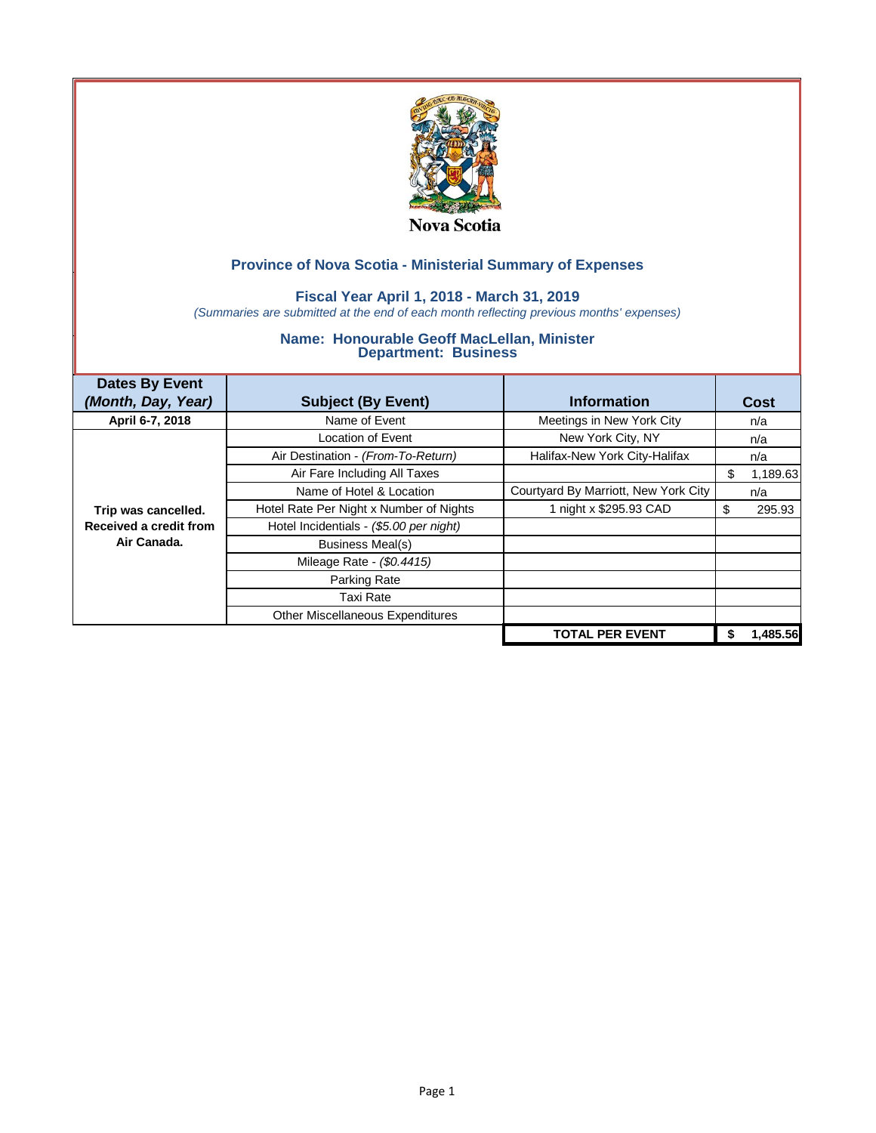

### **Fiscal Year April 1, 2018 - March 31, 2019**

*(Summaries are submitted at the end of each month reflecting previous months' expenses)*

| <b>Dates By Event</b>  |                                         |                                      |    |          |
|------------------------|-----------------------------------------|--------------------------------------|----|----------|
| (Month, Day, Year)     | <b>Subject (By Event)</b>               | <b>Information</b>                   |    | Cost     |
| April 6-7, 2018        | Name of Event                           | Meetings in New York City            |    | n/a      |
|                        | Location of Event                       | New York City, NY                    |    | n/a      |
|                        | Air Destination - (From-To-Return)      | Halifax-New York City-Halifax        |    | n/a      |
|                        | Air Fare Including All Taxes            |                                      | \$ | 1,189.63 |
|                        | Name of Hotel & Location                | Courtyard By Marriott, New York City |    | n/a      |
| Trip was cancelled.    | Hotel Rate Per Night x Number of Nights | 1 night x \$295.93 CAD               | \$ | 295.93   |
| Received a credit from | Hotel Incidentials - (\$5.00 per night) |                                      |    |          |
| Air Canada.            | <b>Business Meal(s)</b>                 |                                      |    |          |
|                        | Mileage Rate - (\$0.4415)               |                                      |    |          |
|                        | Parking Rate                            |                                      |    |          |
|                        | <b>Taxi Rate</b>                        |                                      |    |          |
|                        | Other Miscellaneous Expenditures        |                                      |    |          |
|                        |                                         | <b>TOTAL PER EVENT</b>               | S  | .485.56  |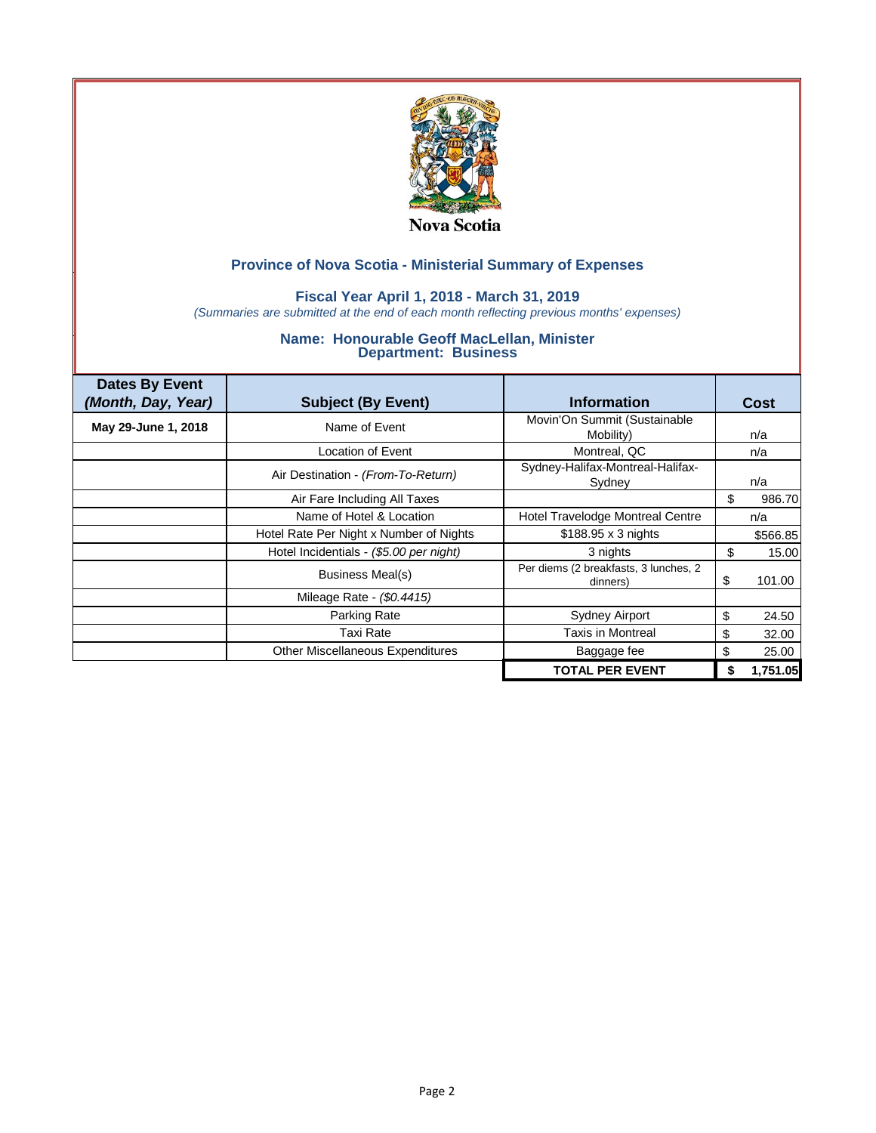

### **Fiscal Year April 1, 2018 - March 31, 2019**

*(Summaries are submitted at the end of each month reflecting previous months' expenses)*

| <b>Dates By Event</b><br>(Month, Day, Year) | <b>Subject (By Event)</b>               | <b>Information</b>                                | Cost           |
|---------------------------------------------|-----------------------------------------|---------------------------------------------------|----------------|
| May 29-June 1, 2018                         | Name of Event                           | Movin'On Summit (Sustainable<br>Mobility)         | n/a            |
|                                             | Location of Event                       | Montreal, QC                                      | n/a            |
|                                             | Air Destination - (From-To-Return)      | Sydney-Halifax-Montreal-Halifax-<br>Sydney        | n/a            |
|                                             | Air Fare Including All Taxes            |                                                   | \$<br>986.70   |
|                                             | Name of Hotel & Location                | Hotel Travelodge Montreal Centre                  | n/a            |
|                                             | Hotel Rate Per Night x Number of Nights | \$188.95 x 3 nights                               | \$566.85       |
|                                             | Hotel Incidentials - (\$5.00 per night) | 3 nights                                          | \$<br>15.00    |
|                                             | Business Meal(s)                        | Per diems (2 breakfasts, 3 lunches, 2<br>dinners) | \$<br>101.00   |
|                                             | Mileage Rate - (\$0.4415)               |                                                   |                |
|                                             | Parking Rate                            | Sydney Airport                                    | \$<br>24.50    |
|                                             | <b>Taxi Rate</b>                        | <b>Taxis in Montreal</b>                          | \$<br>32.00    |
|                                             | Other Miscellaneous Expenditures        | Baggage fee                                       | \$<br>25.00    |
|                                             |                                         | <b>TOTAL PER EVENT</b>                            | \$<br>1,751.05 |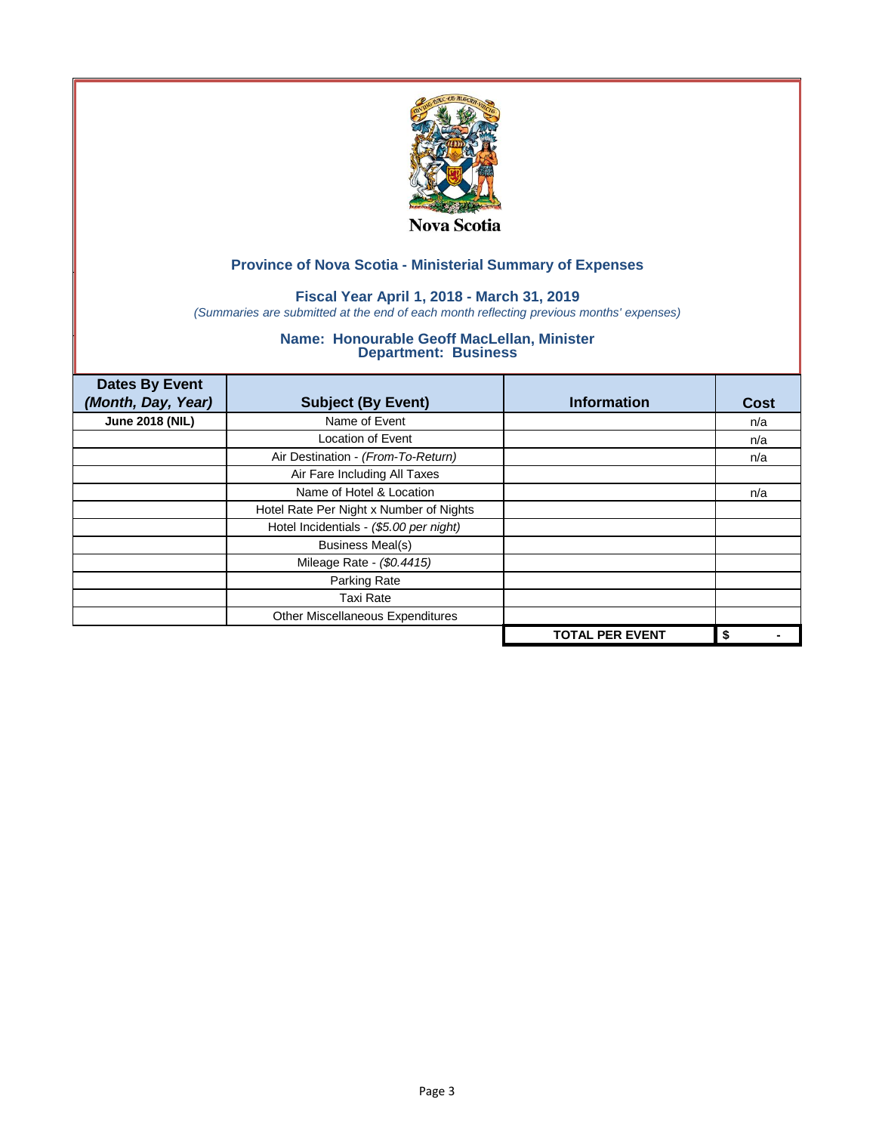

## **Fiscal Year April 1, 2018 - March 31, 2019**

*(Summaries are submitted at the end of each month reflecting previous months' expenses)*

| <b>Dates By Event</b>  |                                         |                        |      |
|------------------------|-----------------------------------------|------------------------|------|
| (Month, Day, Year)     | <b>Subject (By Event)</b>               | <b>Information</b>     | Cost |
| <b>June 2018 (NIL)</b> | Name of Event                           |                        | n/a  |
|                        | <b>Location of Event</b>                |                        | n/a  |
|                        | Air Destination - (From-To-Return)      |                        | n/a  |
|                        | Air Fare Including All Taxes            |                        |      |
|                        | Name of Hotel & Location                |                        | n/a  |
|                        | Hotel Rate Per Night x Number of Nights |                        |      |
|                        | Hotel Incidentials - (\$5.00 per night) |                        |      |
|                        | <b>Business Meal(s)</b>                 |                        |      |
|                        | Mileage Rate - (\$0.4415)               |                        |      |
|                        | Parking Rate                            |                        |      |
|                        | <b>Taxi Rate</b>                        |                        |      |
|                        | Other Miscellaneous Expenditures        |                        |      |
|                        |                                         | <b>TOTAL PER EVENT</b> | \$   |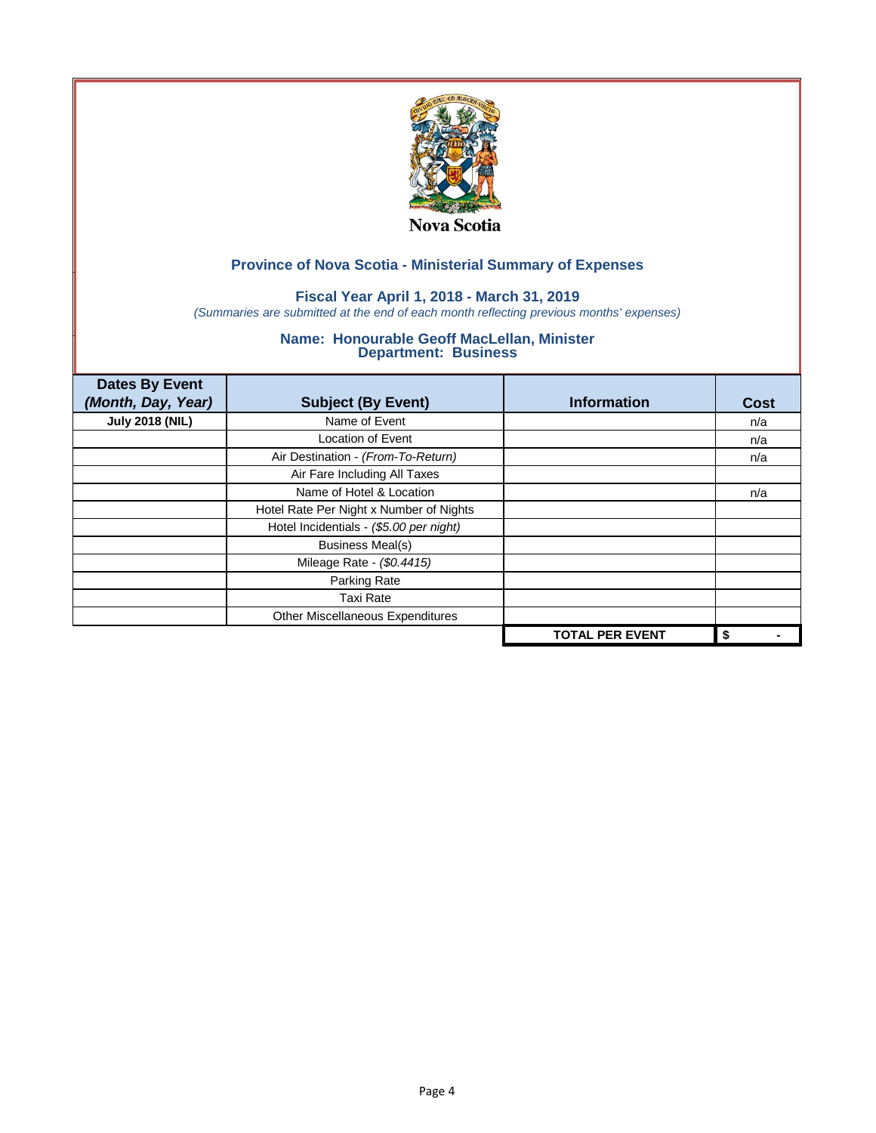

## **Fiscal Year April 1, 2018 - March 31, 2019**

*(Summaries are submitted at the end of each month reflecting previous months' expenses)*

| <b>Dates By Event</b>  |                                         |                        |      |
|------------------------|-----------------------------------------|------------------------|------|
| (Month, Day, Year)     | <b>Subject (By Event)</b>               | <b>Information</b>     | Cost |
| <b>July 2018 (NIL)</b> | Name of Event                           |                        | n/a  |
|                        | <b>Location of Event</b>                |                        | n/a  |
|                        | Air Destination - (From-To-Return)      |                        | n/a  |
|                        | Air Fare Including All Taxes            |                        |      |
|                        | Name of Hotel & Location                |                        | n/a  |
|                        | Hotel Rate Per Night x Number of Nights |                        |      |
|                        | Hotel Incidentials - (\$5.00 per night) |                        |      |
|                        | <b>Business Meal(s)</b>                 |                        |      |
|                        | Mileage Rate - (\$0.4415)               |                        |      |
|                        | Parking Rate                            |                        |      |
|                        | <b>Taxi Rate</b>                        |                        |      |
|                        | Other Miscellaneous Expenditures        |                        |      |
|                        |                                         | <b>TOTAL PER EVENT</b> | \$   |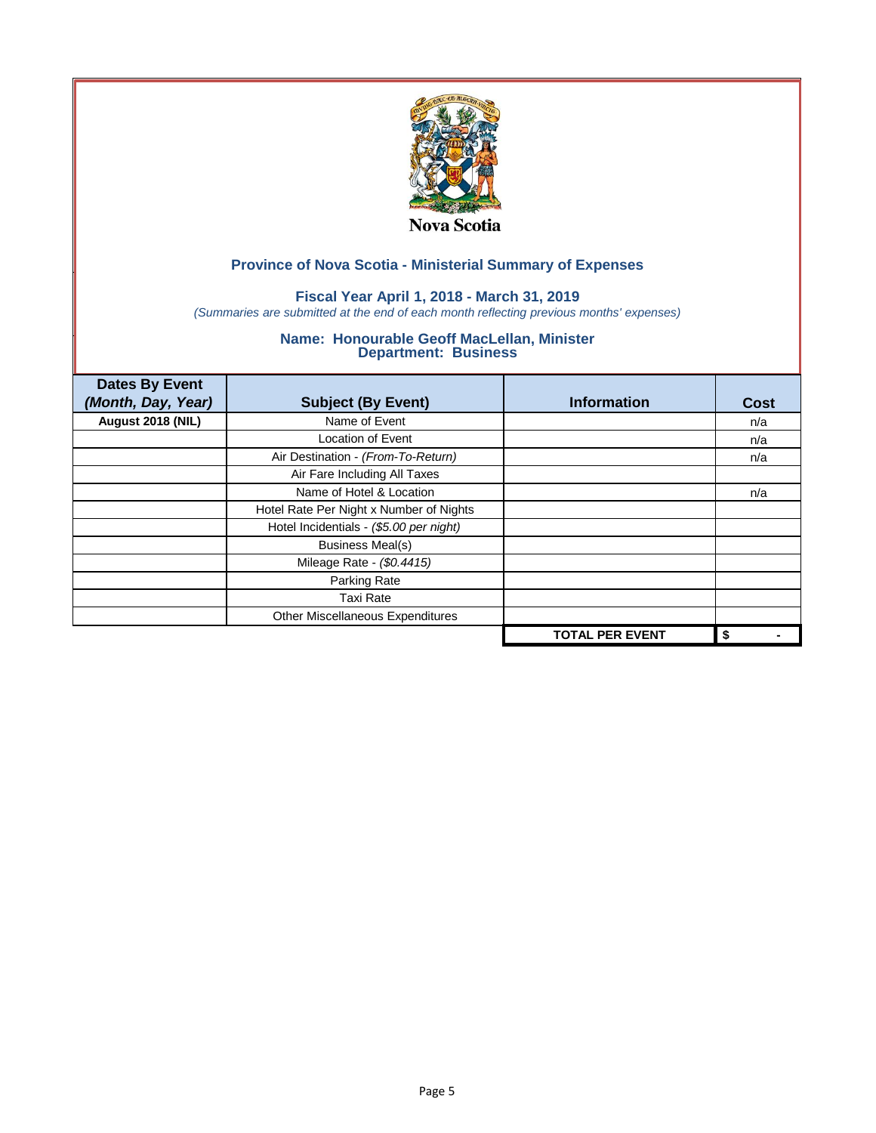

## **Fiscal Year April 1, 2018 - March 31, 2019**

*(Summaries are submitted at the end of each month reflecting previous months' expenses)*

| <b>Dates By Event</b> |                                         |                        |      |
|-----------------------|-----------------------------------------|------------------------|------|
| (Month, Day, Year)    | <b>Subject (By Event)</b>               | <b>Information</b>     | Cost |
| August 2018 (NIL)     | Name of Event                           |                        | n/a  |
|                       | <b>Location of Event</b>                |                        | n/a  |
|                       | Air Destination - (From-To-Return)      |                        | n/a  |
|                       | Air Fare Including All Taxes            |                        |      |
|                       | Name of Hotel & Location                |                        | n/a  |
|                       | Hotel Rate Per Night x Number of Nights |                        |      |
|                       | Hotel Incidentials - (\$5.00 per night) |                        |      |
|                       | <b>Business Meal(s)</b>                 |                        |      |
|                       | Mileage Rate - (\$0.4415)               |                        |      |
|                       | Parking Rate                            |                        |      |
|                       | <b>Taxi Rate</b>                        |                        |      |
|                       | Other Miscellaneous Expenditures        |                        |      |
|                       |                                         | <b>TOTAL PER EVENT</b> | \$   |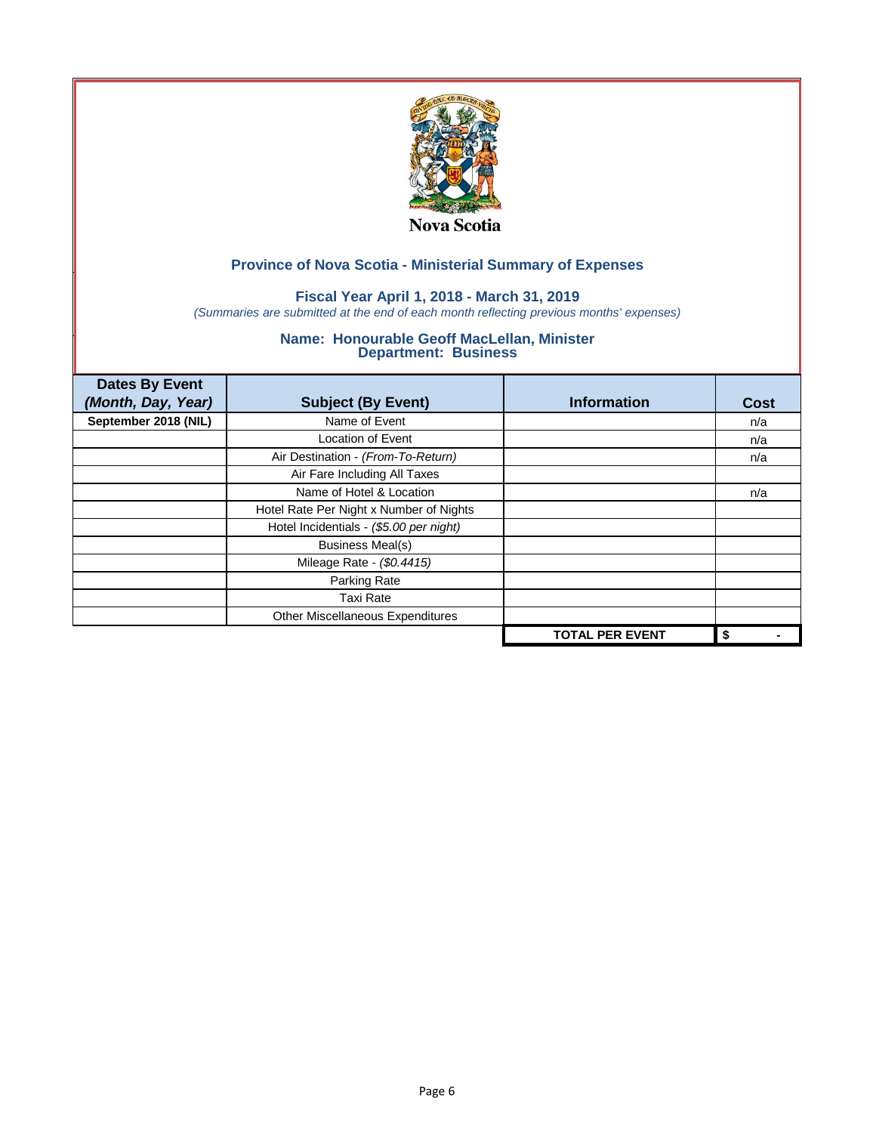

## **Fiscal Year April 1, 2018 - March 31, 2019**

*(Summaries are submitted at the end of each month reflecting previous months' expenses)*

| <b>Dates By Event</b><br>(Month, Day, Year) | <b>Subject (By Event)</b>               | <b>Information</b>     | <b>Cost</b> |
|---------------------------------------------|-----------------------------------------|------------------------|-------------|
| September 2018 (NIL)                        | Name of Event                           |                        | n/a         |
|                                             | Location of Event                       |                        | n/a         |
|                                             | Air Destination - (From-To-Return)      |                        | n/a         |
|                                             | Air Fare Including All Taxes            |                        |             |
|                                             | Name of Hotel & Location                |                        | n/a         |
|                                             | Hotel Rate Per Night x Number of Nights |                        |             |
|                                             | Hotel Incidentials - (\$5.00 per night) |                        |             |
|                                             | <b>Business Meal(s)</b>                 |                        |             |
|                                             | Mileage Rate - (\$0.4415)               |                        |             |
|                                             | Parking Rate                            |                        |             |
|                                             | <b>Taxi Rate</b>                        |                        |             |
|                                             | Other Miscellaneous Expenditures        |                        |             |
|                                             |                                         | <b>TOTAL PER EVENT</b> | \$          |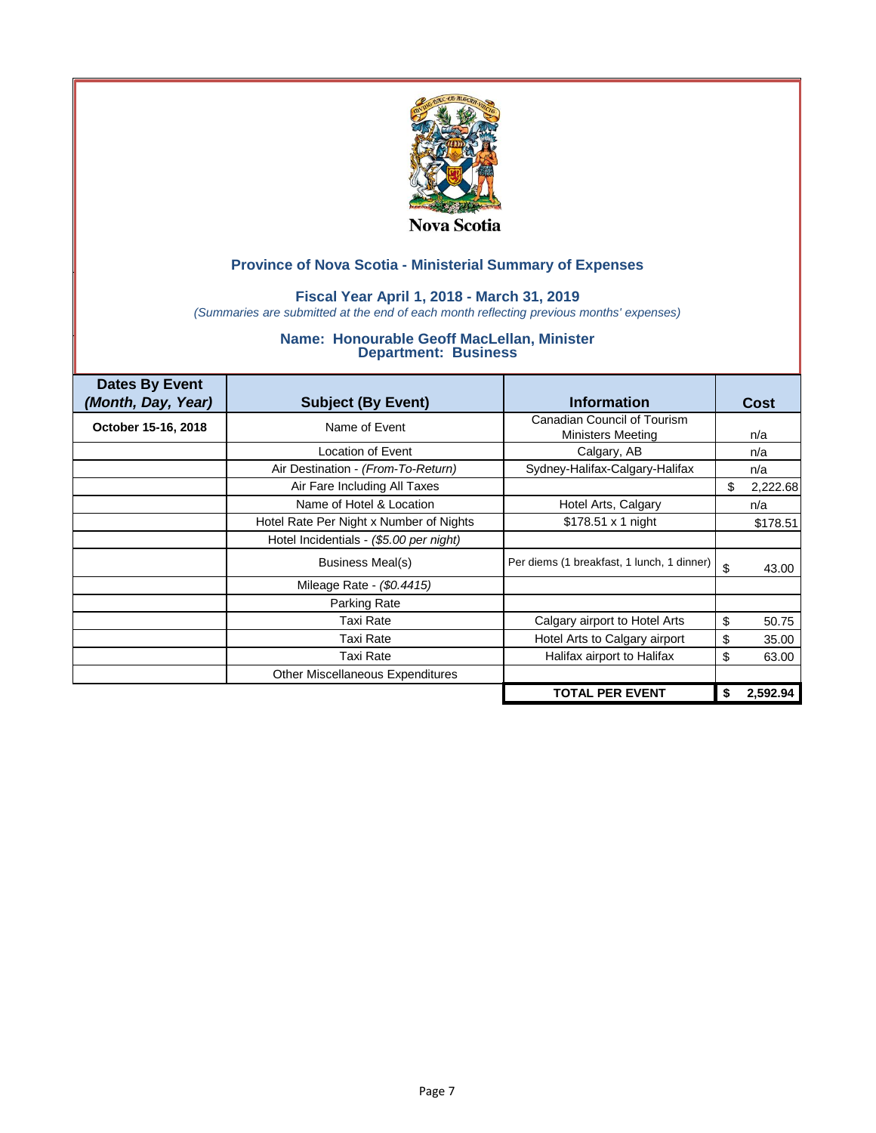

### **Fiscal Year April 1, 2018 - March 31, 2019**

*(Summaries are submitted at the end of each month reflecting previous months' expenses)*

| <b>Dates By Event</b><br>(Month, Day, Year) | <b>Subject (By Event)</b>               | <b>Information</b>                         | Cost           |
|---------------------------------------------|-----------------------------------------|--------------------------------------------|----------------|
| October 15-16, 2018                         | Name of Event                           | <b>Canadian Council of Tourism</b>         |                |
|                                             |                                         | Ministers Meeting                          | n/a            |
|                                             | Location of Event                       | Calgary, AB                                | n/a            |
|                                             | Air Destination - (From-To-Return)      | Sydney-Halifax-Calgary-Halifax             | n/a            |
|                                             | Air Fare Including All Taxes            |                                            | \$<br>2,222.68 |
|                                             | Name of Hotel & Location                | Hotel Arts, Calgary                        | n/a            |
|                                             | Hotel Rate Per Night x Number of Nights | \$178.51 x 1 night                         | \$178.51       |
|                                             | Hotel Incidentials - (\$5.00 per night) |                                            |                |
|                                             | Business Meal(s)                        | Per diems (1 breakfast, 1 lunch, 1 dinner) | \$<br>43.00    |
|                                             | Mileage Rate - (\$0.4415)               |                                            |                |
|                                             | Parking Rate                            |                                            |                |
|                                             | <b>Taxi Rate</b>                        | Calgary airport to Hotel Arts              | \$<br>50.75    |
|                                             | Taxi Rate                               | Hotel Arts to Calgary airport              | \$<br>35.00    |
|                                             | Taxi Rate                               | Halifax airport to Halifax                 | \$<br>63.00    |
|                                             | Other Miscellaneous Expenditures        |                                            |                |
|                                             |                                         | <b>TOTAL PER EVENT</b>                     | \$<br>2,592.94 |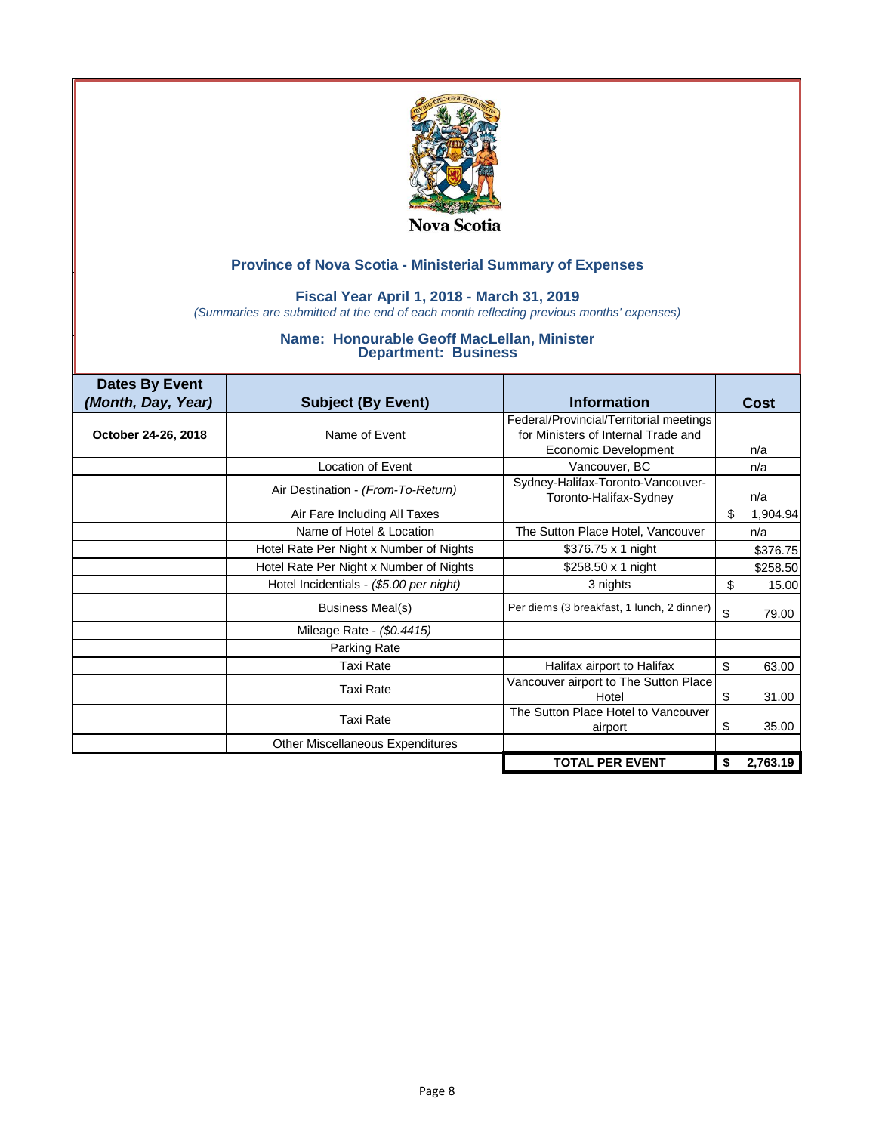

### **Fiscal Year April 1, 2018 - March 31, 2019**

*(Summaries are submitted at the end of each month reflecting previous months' expenses)*

| <b>Dates By Event</b><br>(Month, Day, Year) | <b>Subject (By Event)</b>               | <b>Information</b>                                                                                     | Cost           |
|---------------------------------------------|-----------------------------------------|--------------------------------------------------------------------------------------------------------|----------------|
| October 24-26, 2018                         | Name of Event                           | Federal/Provincial/Territorial meetings<br>for Ministers of Internal Trade and<br>Economic Development | n/a            |
|                                             | Location of Event                       | Vancouver, BC                                                                                          | n/a            |
|                                             | Air Destination - (From-To-Return)      | Sydney-Halifax-Toronto-Vancouver-<br>Toronto-Halifax-Sydney                                            | n/a            |
|                                             | Air Fare Including All Taxes            |                                                                                                        | \$<br>1,904.94 |
|                                             | Name of Hotel & Location                | The Sutton Place Hotel, Vancouver                                                                      | n/a            |
|                                             | Hotel Rate Per Night x Number of Nights | \$376.75 $\times$ 1 night                                                                              | \$376.75       |
|                                             | Hotel Rate Per Night x Number of Nights | \$258.50 $\times$ 1 night                                                                              | \$258.50       |
|                                             | Hotel Incidentials - (\$5.00 per night) | 3 nights                                                                                               | \$<br>15.00    |
|                                             | Business Meal(s)                        | Per diems (3 breakfast, 1 lunch, 2 dinner)                                                             | \$<br>79.00    |
|                                             | Mileage Rate - (\$0.4415)               |                                                                                                        |                |
|                                             | <b>Parking Rate</b>                     |                                                                                                        |                |
|                                             | Taxi Rate                               | Halifax airport to Halifax                                                                             | \$<br>63.00    |
|                                             | <b>Taxi Rate</b>                        | Vancouver airport to The Sutton Place<br>Hotel                                                         | \$<br>31.00    |
|                                             | Taxi Rate                               | The Sutton Place Hotel to Vancouver<br>airport                                                         | \$<br>35.00    |
|                                             | Other Miscellaneous Expenditures        |                                                                                                        |                |
|                                             |                                         | <b>TOTAL PER EVENT</b>                                                                                 | \$<br>2,763.19 |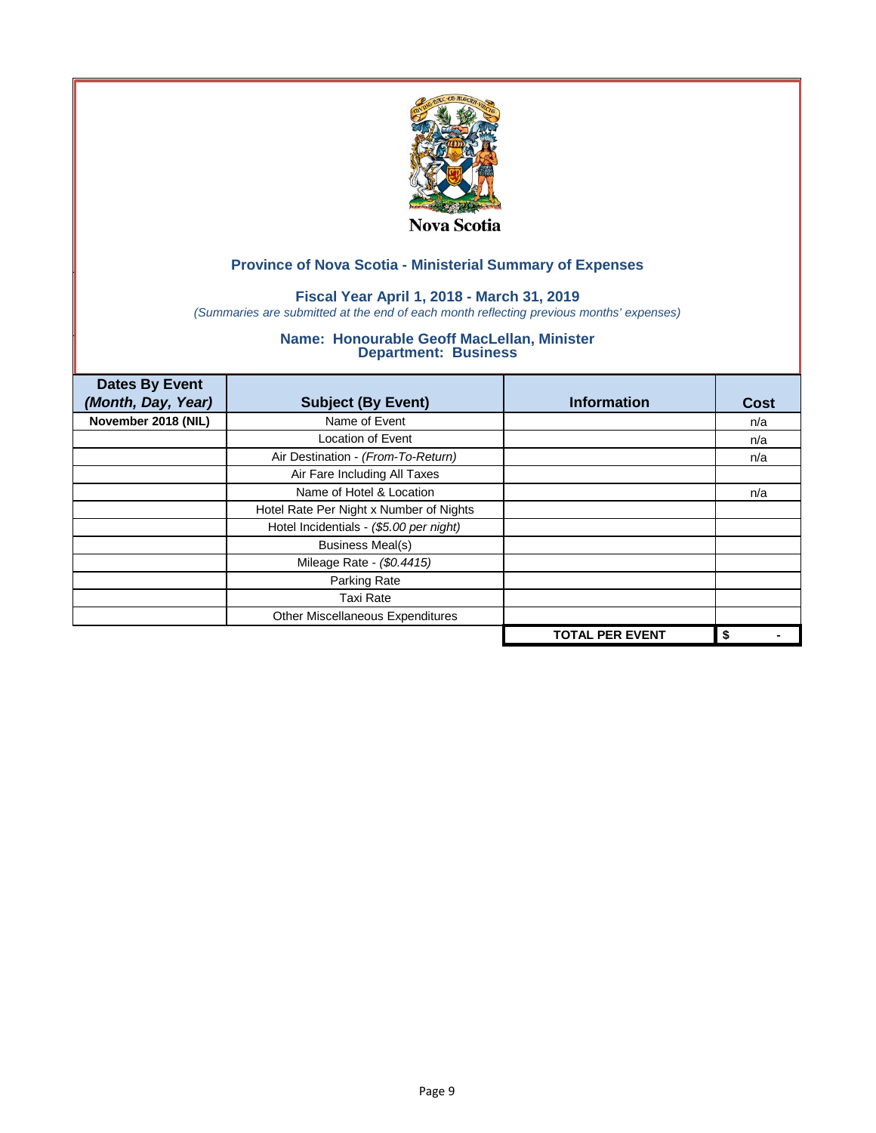

## **Fiscal Year April 1, 2018 - March 31, 2019**

*(Summaries are submitted at the end of each month reflecting previous months' expenses)*

| <b>Dates By Event</b> |                                         |                        |      |
|-----------------------|-----------------------------------------|------------------------|------|
| (Month, Day, Year)    | <b>Subject (By Event)</b>               | <b>Information</b>     | Cost |
| November 2018 (NIL)   | Name of Event                           |                        | n/a  |
|                       | Location of Event                       |                        | n/a  |
|                       | Air Destination - (From-To-Return)      |                        | n/a  |
|                       | Air Fare Including All Taxes            |                        |      |
|                       | Name of Hotel & Location                |                        | n/a  |
|                       | Hotel Rate Per Night x Number of Nights |                        |      |
|                       | Hotel Incidentials - (\$5.00 per night) |                        |      |
|                       | <b>Business Meal(s)</b>                 |                        |      |
|                       | Mileage Rate - (\$0.4415)               |                        |      |
|                       | Parking Rate                            |                        |      |
|                       | <b>Taxi Rate</b>                        |                        |      |
|                       | Other Miscellaneous Expenditures        |                        |      |
|                       |                                         | <b>TOTAL PER EVENT</b> | \$   |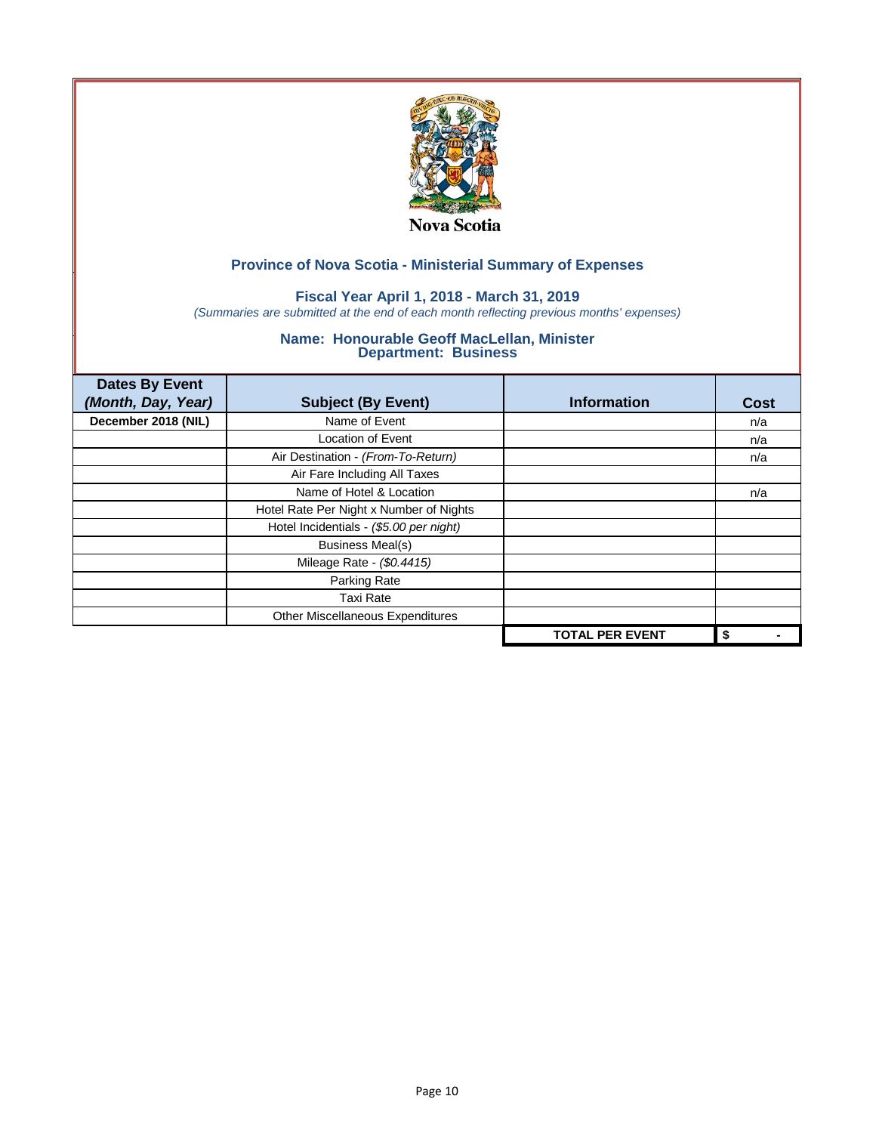

## **Fiscal Year April 1, 2018 - March 31, 2019**

*(Summaries are submitted at the end of each month reflecting previous months' expenses)*

| <b>Dates By Event</b> |                                         |                        |      |
|-----------------------|-----------------------------------------|------------------------|------|
| (Month, Day, Year)    | <b>Subject (By Event)</b>               | <b>Information</b>     | Cost |
| December 2018 (NIL)   | Name of Event                           |                        | n/a  |
|                       | Location of Event                       |                        | n/a  |
|                       | Air Destination - (From-To-Return)      |                        | n/a  |
|                       | Air Fare Including All Taxes            |                        |      |
|                       | Name of Hotel & Location                |                        | n/a  |
|                       | Hotel Rate Per Night x Number of Nights |                        |      |
|                       | Hotel Incidentials - (\$5.00 per night) |                        |      |
|                       | <b>Business Meal(s)</b>                 |                        |      |
|                       | Mileage Rate - (\$0.4415)               |                        |      |
|                       | Parking Rate                            |                        |      |
|                       | <b>Taxi Rate</b>                        |                        |      |
|                       | Other Miscellaneous Expenditures        |                        |      |
|                       |                                         | <b>TOTAL PER EVENT</b> | \$   |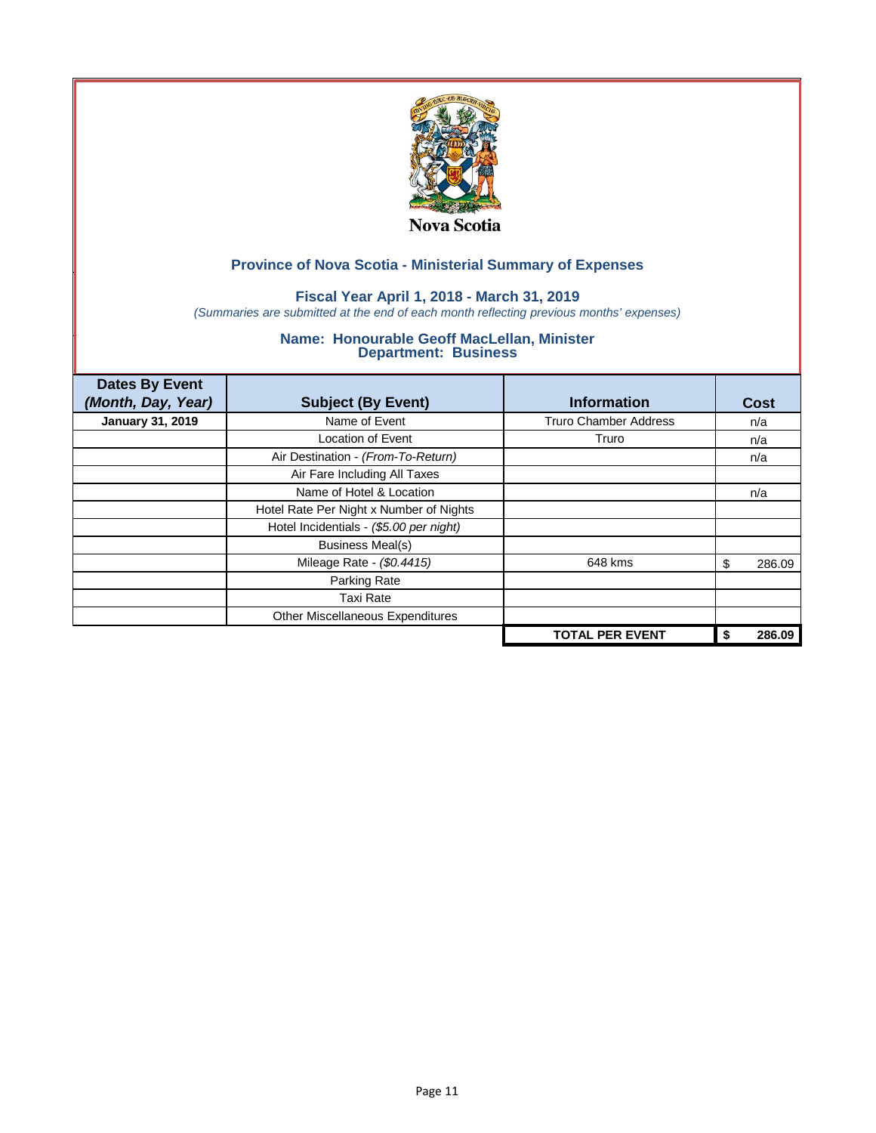

## **Fiscal Year April 1, 2018 - March 31, 2019**

*(Summaries are submitted at the end of each month reflecting previous months' expenses)*

| <b>Dates By Event</b>   |                                         |                              |             |
|-------------------------|-----------------------------------------|------------------------------|-------------|
| (Month, Day, Year)      | <b>Subject (By Event)</b>               | <b>Information</b>           | Cost        |
| <b>January 31, 2019</b> | Name of Event                           | <b>Truro Chamber Address</b> | n/a         |
|                         | Location of Event                       | Truro                        | n/a         |
|                         | Air Destination - (From-To-Return)      |                              | n/a         |
|                         | Air Fare Including All Taxes            |                              |             |
|                         | Name of Hotel & Location                |                              | n/a         |
|                         | Hotel Rate Per Night x Number of Nights |                              |             |
|                         | Hotel Incidentials - (\$5.00 per night) |                              |             |
|                         | <b>Business Meal(s)</b>                 |                              |             |
|                         | Mileage Rate - (\$0.4415)               | 648 kms                      | 286.09<br>S |
|                         | Parking Rate                            |                              |             |
|                         | <b>Taxi Rate</b>                        |                              |             |
|                         | Other Miscellaneous Expenditures        |                              |             |
|                         |                                         | <b>TOTAL PER EVENT</b>       | 286.09      |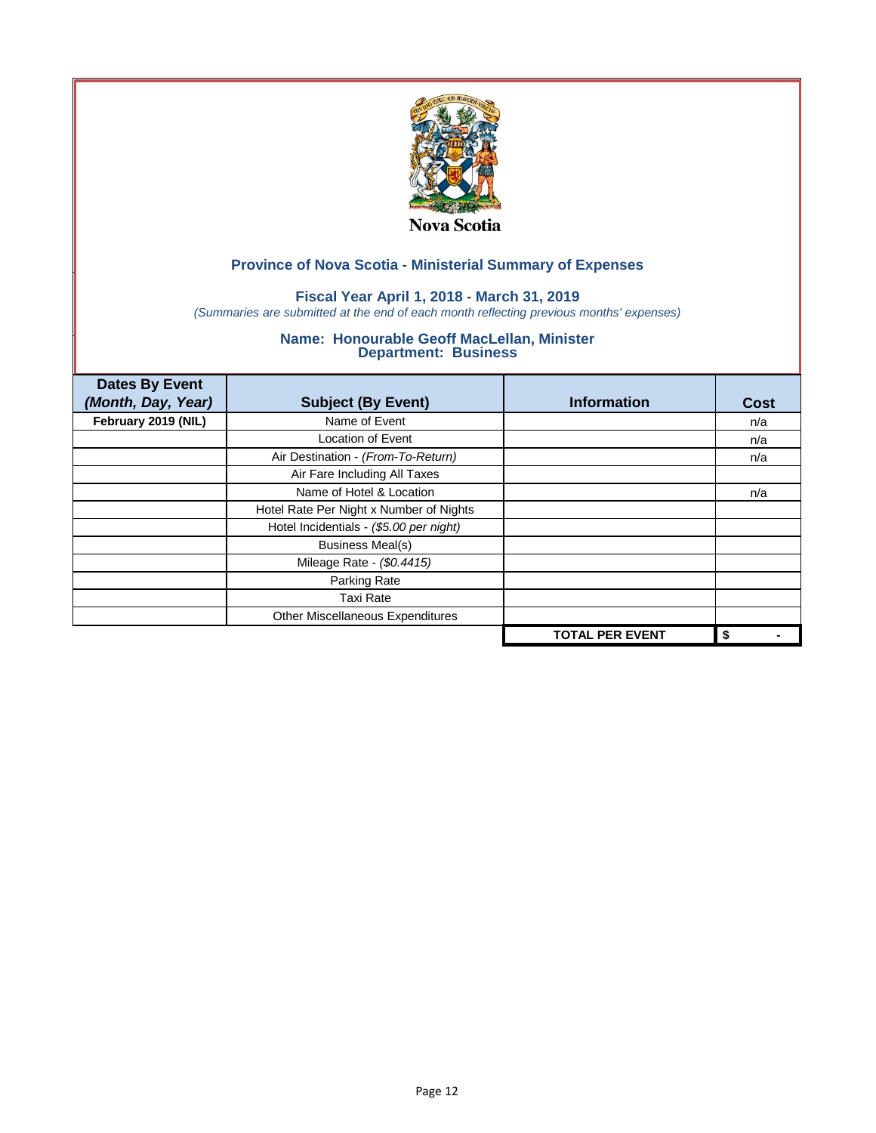

## **Fiscal Year April 1, 2018 - March 31, 2019**

*(Summaries are submitted at the end of each month reflecting previous months' expenses)*

| <b>Dates By Event</b> |                                         |                        |      |
|-----------------------|-----------------------------------------|------------------------|------|
| (Month, Day, Year)    | <b>Subject (By Event)</b>               | <b>Information</b>     | Cost |
| February 2019 (NIL)   | Name of Event                           |                        | n/a  |
|                       | Location of Event                       |                        | n/a  |
|                       | Air Destination - (From-To-Return)      |                        | n/a  |
|                       | Air Fare Including All Taxes            |                        |      |
|                       | Name of Hotel & Location                |                        | n/a  |
|                       | Hotel Rate Per Night x Number of Nights |                        |      |
|                       | Hotel Incidentials - (\$5.00 per night) |                        |      |
|                       | <b>Business Meal(s)</b>                 |                        |      |
|                       | Mileage Rate - (\$0.4415)               |                        |      |
|                       | Parking Rate                            |                        |      |
|                       | <b>Taxi Rate</b>                        |                        |      |
|                       | Other Miscellaneous Expenditures        |                        |      |
|                       |                                         | <b>TOTAL PER EVENT</b> | \$   |